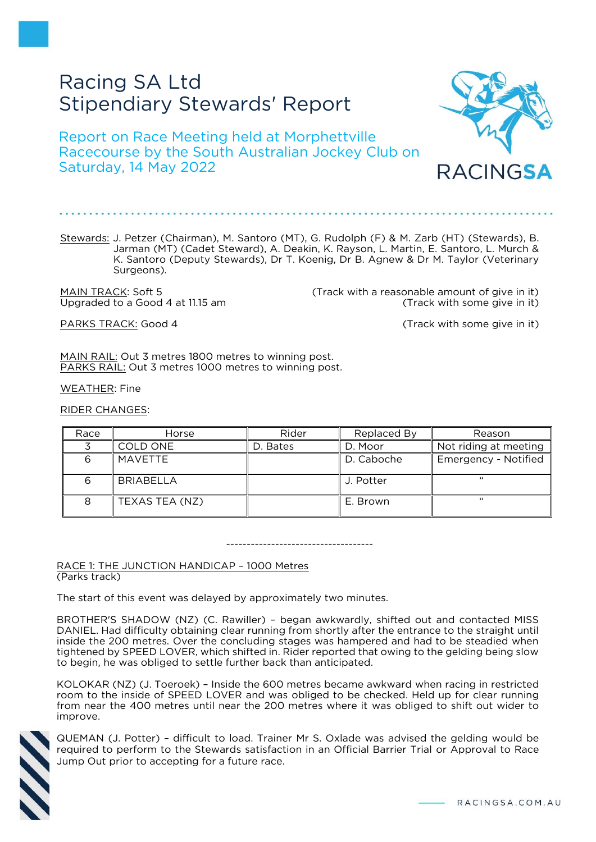# Racing SA Ltd Stipendiary Stewards' Report

Report on Race Meeting held at Morphettville Racecourse by the South Australian Jockey Club on Saturday, 14 May 2022



MAIN TRACK: Soft 5 (Track with a reasonable amount of give in it) Upgraded to a Good 4 at 11.15 am (Track with some give in it)

PARKS TRACK: Good 4 (Track with some give in it)

RACINGSA

MAIN RAIL: Out 3 metres 1800 metres to winning post. PARKS RAIL: Out 3 metres 1000 metres to winning post.

WEATHER: Fine

RIDER CHANGES:

| Race | Horse            | Rider    | Replaced By | Reason                |
|------|------------------|----------|-------------|-----------------------|
|      | COLD ONE         | D. Bates | D. Moor     | Not riding at meeting |
|      | MAVETTE          |          | D. Caboche  | Emergency - Notified  |
|      | <b>BRIABELLA</b> |          | J. Potter   | "                     |
|      | TEXAS TEA (NZ)   |          | E. Brown    | "                     |

#### ------------------------------------

RACE 1: THE JUNCTION HANDICAP – 1000 Metres (Parks track)

The start of this event was delayed by approximately two minutes.

BROTHER'S SHADOW (NZ) (C. Rawiller) – began awkwardly, shifted out and contacted MISS DANIEL. Had difficulty obtaining clear running from shortly after the entrance to the straight until inside the 200 metres. Over the concluding stages was hampered and had to be steadied when tightened by SPEED LOVER, which shifted in. Rider reported that owing to the gelding being slow to begin, he was obliged to settle further back than anticipated.

KOLOKAR (NZ) (J. Toeroek) – Inside the 600 metres became awkward when racing in restricted room to the inside of SPEED LOVER and was obliged to be checked. Held up for clear running from near the 400 metres until near the 200 metres where it was obliged to shift out wider to improve.



QUEMAN (J. Potter) – difficult to load. Trainer Mr S. Oxlade was advised the gelding would be required to perform to the Stewards satisfaction in an Official Barrier Trial or Approval to Race Jump Out prior to accepting for a future race.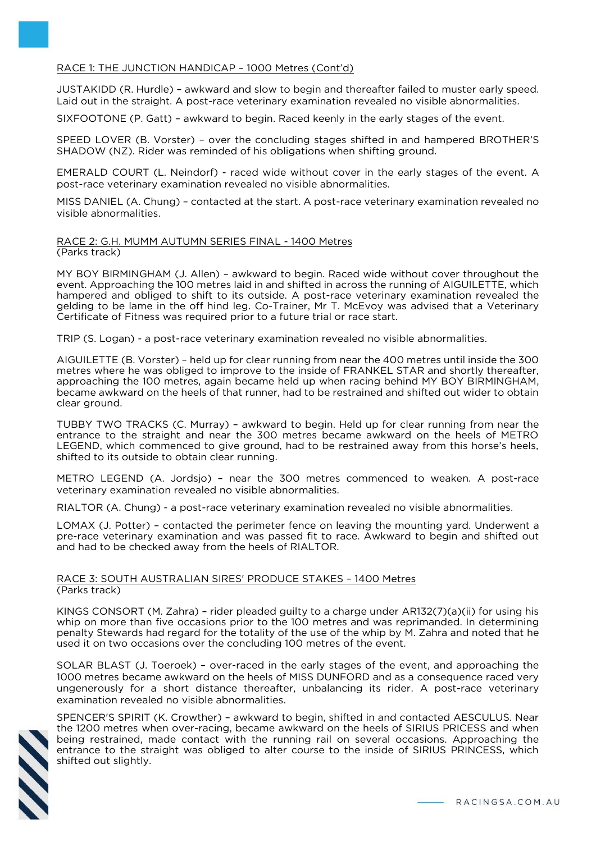## RACE 1: THE JUNCTION HANDICAP – 1000 Metres (Cont'd)

JUSTAKIDD (R. Hurdle) – awkward and slow to begin and thereafter failed to muster early speed. Laid out in the straight. A post-race veterinary examination revealed no visible abnormalities.

SIXFOOTONE (P. Gatt) – awkward to begin. Raced keenly in the early stages of the event.

SPEED LOVER (B. Vorster) – over the concluding stages shifted in and hampered BROTHER'S SHADOW (NZ). Rider was reminded of his obligations when shifting ground.

EMERALD COURT (L. Neindorf) - raced wide without cover in the early stages of the event. A post-race veterinary examination revealed no visible abnormalities.

MISS DANIEL (A. Chung) – contacted at the start. A post-race veterinary examination revealed no visible abnormalities.

#### RACE 2: G.H. MUMM AUTUMN SERIES FINAL - 1400 Metres (Parks track)

MY BOY BIRMINGHAM (J. Allen) – awkward to begin. Raced wide without cover throughout the event. Approaching the 100 metres laid in and shifted in across the running of AIGUILETTE, which hampered and obliged to shift to its outside. A post-race veterinary examination revealed the gelding to be lame in the off hind leg. Co-Trainer, Mr T. McEvoy was advised that a Veterinary Certificate of Fitness was required prior to a future trial or race start.

TRIP (S. Logan) - a post-race veterinary examination revealed no visible abnormalities.

AIGUILETTE (B. Vorster) – held up for clear running from near the 400 metres until inside the 300 metres where he was obliged to improve to the inside of FRANKEL STAR and shortly thereafter, approaching the 100 metres, again became held up when racing behind MY BOY BIRMINGHAM, became awkward on the heels of that runner, had to be restrained and shifted out wider to obtain clear ground.

TUBBY TWO TRACKS (C. Murray) – awkward to begin. Held up for clear running from near the entrance to the straight and near the 300 metres became awkward on the heels of METRO LEGEND, which commenced to give ground, had to be restrained away from this horse's heels, shifted to its outside to obtain clear running.

METRO LEGEND (A. Jordsjo) – near the 300 metres commenced to weaken. A post-race veterinary examination revealed no visible abnormalities.

RIALTOR (A. Chung) - a post-race veterinary examination revealed no visible abnormalities.

LOMAX (J. Potter) – contacted the perimeter fence on leaving the mounting yard. Underwent a pre-race veterinary examination and was passed fit to race. Awkward to begin and shifted out and had to be checked away from the heels of RIALTOR.

### RACE 3: SOUTH AUSTRALIAN SIRES' PRODUCE STAKES – 1400 Metres (Parks track)

KINGS CONSORT (M. Zahra) – rider pleaded guilty to a charge under AR132(7)(a)(ii) for using his whip on more than five occasions prior to the 100 metres and was reprimanded. In determining penalty Stewards had regard for the totality of the use of the whip by M. Zahra and noted that he used it on two occasions over the concluding 100 metres of the event.

SOLAR BLAST (J. Toeroek) – over-raced in the early stages of the event, and approaching the 1000 metres became awkward on the heels of MISS DUNFORD and as a consequence raced very ungenerously for a short distance thereafter, unbalancing its rider. A post-race veterinary examination revealed no visible abnormalities.



SPENCER'S SPIRIT (K. Crowther) – awkward to begin, shifted in and contacted AESCULUS. Near the 1200 metres when over-racing, became awkward on the heels of SIRIUS PRICESS and when being restrained, made contact with the running rail on several occasions. Approaching the entrance to the straight was obliged to alter course to the inside of SIRIUS PRINCESS, which shifted out slightly.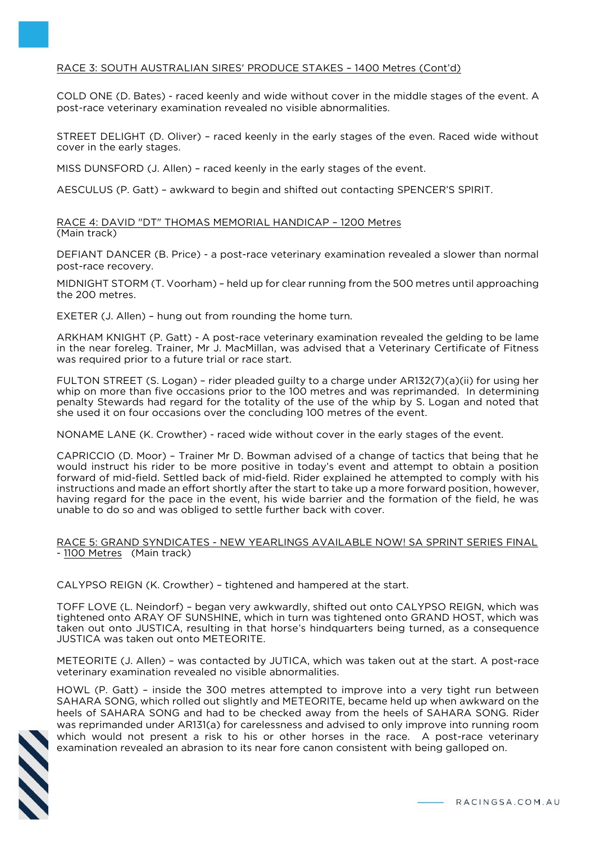# RACE 3: SOUTH AUSTRALIAN SIRES' PRODUCE STAKES – 1400 Metres (Cont'd)

COLD ONE (D. Bates) - raced keenly and wide without cover in the middle stages of the event. A post-race veterinary examination revealed no visible abnormalities.

STREET DELIGHT (D. Oliver) – raced keenly in the early stages of the even. Raced wide without cover in the early stages.

MISS DUNSFORD (J. Allen) – raced keenly in the early stages of the event.

AESCULUS (P. Gatt) – awkward to begin and shifted out contacting SPENCER'S SPIRIT.

RACE 4: DAVID "DT" THOMAS MEMORIAL HANDICAP – 1200 Metres (Main track)

DEFIANT DANCER (B. Price) - a post-race veterinary examination revealed a slower than normal post-race recovery.

MIDNIGHT STORM (T. Voorham) – held up for clear running from the 500 metres until approaching the 200 metres.

EXETER (J. Allen) – hung out from rounding the home turn.

ARKHAM KNIGHT (P. Gatt) - A post-race veterinary examination revealed the gelding to be lame in the near foreleg. Trainer, Mr J. MacMillan, was advised that a Veterinary Certificate of Fitness was required prior to a future trial or race start.

FULTON STREET (S. Logan) – rider pleaded guilty to a charge under AR132(7)(a)(ii) for using her whip on more than five occasions prior to the 100 metres and was reprimanded. In determining penalty Stewards had regard for the totality of the use of the whip by S. Logan and noted that she used it on four occasions over the concluding 100 metres of the event.

NONAME LANE (K. Crowther) - raced wide without cover in the early stages of the event.

CAPRICCIO (D. Moor) – Trainer Mr D. Bowman advised of a change of tactics that being that he would instruct his rider to be more positive in today's event and attempt to obtain a position forward of mid-field. Settled back of mid-field. Rider explained he attempted to comply with his instructions and made an effort shortly after the start to take up a more forward position, however, having regard for the pace in the event, his wide barrier and the formation of the field, he was unable to do so and was obliged to settle further back with cover.

### RACE 5: GRAND SYNDICATES - NEW YEARLINGS AVAILABLE NOW! SA SPRINT SERIES FINAL - 1100 Metres (Main track)

CALYPSO REIGN (K. Crowther) – tightened and hampered at the start.

TOFF LOVE (L. Neindorf) – began very awkwardly, shifted out onto CALYPSO REIGN, which was tightened onto ARAY OF SUNSHINE, which in turn was tightened onto GRAND HOST, which was taken out onto JUSTICA, resulting in that horse's hindquarters being turned, as a consequence JUSTICA was taken out onto METEORITE.

METEORITE (J. Allen) – was contacted by JUTICA, which was taken out at the start. A post-race veterinary examination revealed no visible abnormalities.

HOWL (P. Gatt) – inside the 300 metres attempted to improve into a very tight run between SAHARA SONG, which rolled out slightly and METEORITE, became held up when awkward on the heels of SAHARA SONG and had to be checked away from the heels of SAHARA SONG. Rider was reprimanded under AR131(a) for carelessness and advised to only improve into running room which would not present a risk to his or other horses in the race. A post-race veterinary examination revealed an abrasion to its near fore canon consistent with being galloped on.

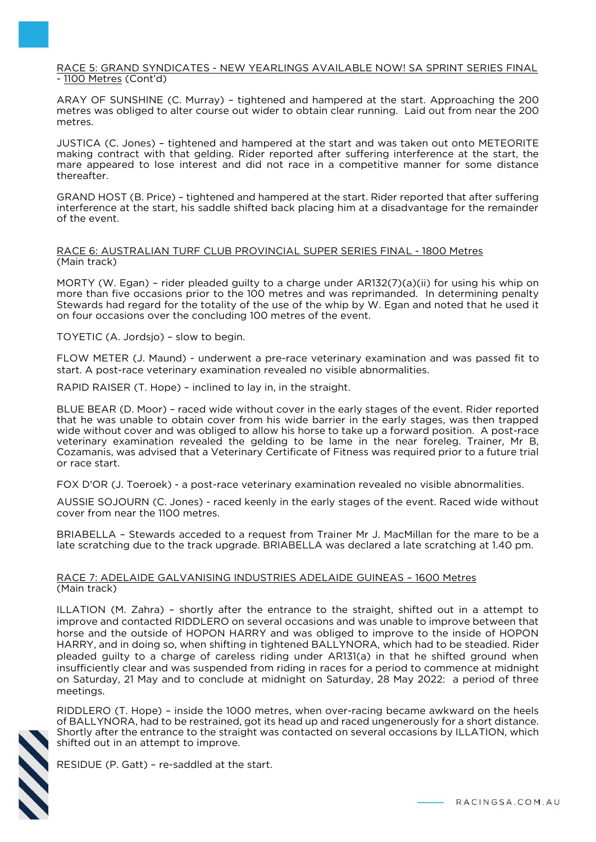### RACE 5: GRAND SYNDICATES - NEW YEARLINGS AVAILABLE NOW! SA SPRINT SERIES FINAL - 1100 Metres (Cont'd)

ARAY OF SUNSHINE (C. Murray) – tightened and hampered at the start. Approaching the 200 metres was obliged to alter course out wider to obtain clear running. Laid out from near the 200 metres.

JUSTICA (C. Jones) – tightened and hampered at the start and was taken out onto METEORITE making contract with that gelding. Rider reported after suffering interference at the start, the mare appeared to lose interest and did not race in a competitive manner for some distance thereafter.

GRAND HOST (B. Price) – tightened and hampered at the start. Rider reported that after suffering interference at the start, his saddle shifted back placing him at a disadvantage for the remainder of the event.

## RACE 6: AUSTRALIAN TURF CLUB PROVINCIAL SUPER SERIES FINAL - 1800 Metres (Main track)

MORTY (W. Egan) – rider pleaded guilty to a charge under AR132(7)(a)(ii) for using his whip on more than five occasions prior to the 100 metres and was reprimanded. In determining penalty Stewards had regard for the totality of the use of the whip by W. Egan and noted that he used it on four occasions over the concluding 100 metres of the event.

TOYETIC (A. Jordsjo) – slow to begin.

FLOW METER (J. Maund) - underwent a pre-race veterinary examination and was passed fit to start. A post-race veterinary examination revealed no visible abnormalities.

RAPID RAISER (T. Hope) – inclined to lay in, in the straight.

BLUE BEAR (D. Moor) – raced wide without cover in the early stages of the event. Rider reported that he was unable to obtain cover from his wide barrier in the early stages, was then trapped wide without cover and was obliged to allow his horse to take up a forward position. A post-race veterinary examination revealed the gelding to be lame in the near foreleg. Trainer, Mr B, Cozamanis, was advised that a Veterinary Certificate of Fitness was required prior to a future trial or race start.

FOX D'OR (J. Toeroek) - a post-race veterinary examination revealed no visible abnormalities.

AUSSIE SOJOURN (C. Jones) - raced keenly in the early stages of the event. Raced wide without cover from near the 1100 metres.

BRIABELLA – Stewards acceded to a request from Trainer Mr J. MacMillan for the mare to be a late scratching due to the track upgrade. BRIABELLA was declared a late scratching at 1.40 pm.

## RACE 7: ADELAIDE GALVANISING INDUSTRIES ADELAIDE GUINEAS – 1600 Metres (Main track)

ILLATION (M. Zahra) – shortly after the entrance to the straight, shifted out in a attempt to improve and contacted RIDDLERO on several occasions and was unable to improve between that horse and the outside of HOPON HARRY and was obliged to improve to the inside of HOPON HARRY, and in doing so, when shifting in tightened BALLYNORA, which had to be steadied. Rider pleaded guilty to a charge of careless riding under AR131(a) in that he shifted ground when insufficiently clear and was suspended from riding in races for a period to commence at midnight on Saturday, 21 May and to conclude at midnight on Saturday, 28 May 2022: a period of three meetings.

RIDDLERO (T. Hope) – inside the 1000 metres, when over-racing became awkward on the heels of BALLYNORA, had to be restrained, got its head up and raced ungenerously for a short distance. Shortly after the entrance to the straight was contacted on several occasions by ILLATION, which shifted out in an attempt to improve.



RESIDUE (P. Gatt) – re-saddled at the start.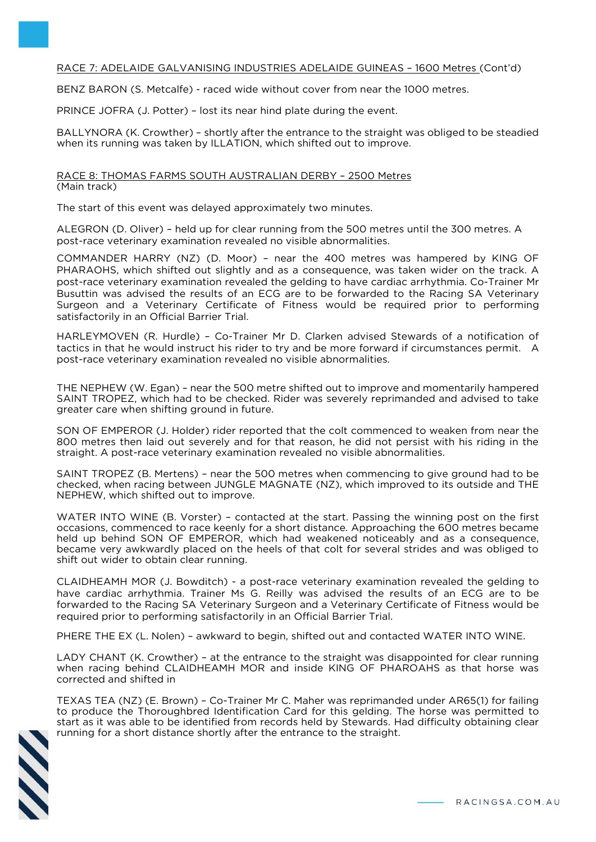# RACE 7: ADELAIDE GALVANISING INDUSTRIES ADELAIDE GUINEAS – 1600 Metres (Cont'd)

BENZ BARON (S. Metcalfe) - raced wide without cover from near the 1000 metres.

PRINCE JOFRA (J. Potter) – lost its near hind plate during the event.

BALLYNORA (K. Crowther) – shortly after the entrance to the straight was obliged to be steadied when its running was taken by ILLATION, which shifted out to improve.

RACE 8: THOMAS FARMS SOUTH AUSTRALIAN DERBY – 2500 Metres (Main track)

The start of this event was delayed approximately two minutes.

ALEGRON (D. Oliver) – held up for clear running from the 500 metres until the 300 metres. A post-race veterinary examination revealed no visible abnormalities.

COMMANDER HARRY (NZ) (D. Moor) – near the 400 metres was hampered by KING OF PHARAOHS, which shifted out slightly and as a consequence, was taken wider on the track. A post-race veterinary examination revealed the gelding to have cardiac arrhythmia. Co-Trainer Mr Busuttin was advised the results of an ECG are to be forwarded to the Racing SA Veterinary Surgeon and a Veterinary Certificate of Fitness would be required prior to performing satisfactorily in an Official Barrier Trial.

HARLEYMOVEN (R. Hurdle) – Co-Trainer Mr D. Clarken advised Stewards of a notification of tactics in that he would instruct his rider to try and be more forward if circumstances permit. A post-race veterinary examination revealed no visible abnormalities.

THE NEPHEW (W. Egan) – near the 500 metre shifted out to improve and momentarily hampered SAINT TROPEZ, which had to be checked. Rider was severely reprimanded and advised to take greater care when shifting ground in future.

SON OF EMPEROR (J. Holder) rider reported that the colt commenced to weaken from near the 800 metres then laid out severely and for that reason, he did not persist with his riding in the straight. A post-race veterinary examination revealed no visible abnormalities.

SAINT TROPEZ (B. Mertens) – near the 500 metres when commencing to give ground had to be checked, when racing between JUNGLE MAGNATE (NZ), which improved to its outside and THE NEPHEW, which shifted out to improve.

WATER INTO WINE (B. Vorster) – contacted at the start. Passing the winning post on the first occasions, commenced to race keenly for a short distance. Approaching the 600 metres became held up behind SON OF EMPEROR, which had weakened noticeably and as a consequence, became very awkwardly placed on the heels of that colt for several strides and was obliged to shift out wider to obtain clear running.

CLAIDHEAMH MOR (J. Bowditch) - a post-race veterinary examination revealed the gelding to have cardiac arrhythmia. Trainer Ms G. Reilly was advised the results of an ECG are to be forwarded to the Racing SA Veterinary Surgeon and a Veterinary Certificate of Fitness would be required prior to performing satisfactorily in an Official Barrier Trial.

PHERE THE EX (L. Nolen) – awkward to begin, shifted out and contacted WATER INTO WINE.

LADY CHANT (K. Crowther) – at the entrance to the straight was disappointed for clear running when racing behind CLAIDHEAMH MOR and inside KING OF PHAROAHS as that horse was corrected and shifted in

TEXAS TEA (NZ) (E. Brown) – Co-Trainer Mr C. Maher was reprimanded under AR65(1) for failing to produce the Thoroughbred Identification Card for this gelding. The horse was permitted to start as it was able to be identified from records held by Stewards. Had difficulty obtaining clear running for a short distance shortly after the entrance to the straight.

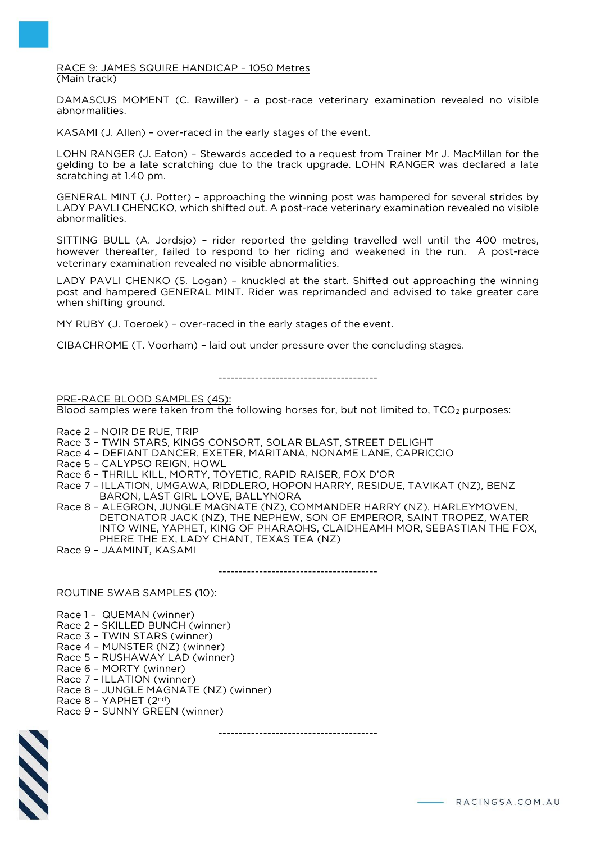#### RACE 9: JAMES SQUIRE HANDICAP – 1050 Metres (Main track)

DAMASCUS MOMENT (C. Rawiller) - a post-race veterinary examination revealed no visible abnormalities.

KASAMI (J. Allen) – over-raced in the early stages of the event.

LOHN RANGER (J. Eaton) – Stewards acceded to a request from Trainer Mr J. MacMillan for the gelding to be a late scratching due to the track upgrade. LOHN RANGER was declared a late scratching at 1.40 pm.

GENERAL MINT (J. Potter) – approaching the winning post was hampered for several strides by LADY PAVLI CHENCKO, which shifted out. A post-race veterinary examination revealed no visible abnormalities.

SITTING BULL (A. Jordsjo) – rider reported the gelding travelled well until the 400 metres, however thereafter, failed to respond to her riding and weakened in the run. A post-race veterinary examination revealed no visible abnormalities.

LADY PAVLI CHENKO (S. Logan) – knuckled at the start. Shifted out approaching the winning post and hampered GENERAL MINT. Rider was reprimanded and advised to take greater care when shifting ground.

MY RUBY (J. Toeroek) – over-raced in the early stages of the event.

CIBACHROME (T. Voorham) – laid out under pressure over the concluding stages.

---------------------------------------

PRE-RACE BLOOD SAMPLES (45):

Blood samples were taken from the following horses for, but not limited to,  $TCO<sub>2</sub>$  purposes:

Race 2 – NOIR DE RUE, TRIP

Race 3 – TWIN STARS, KINGS CONSORT, SOLAR BLAST, STREET DELIGHT

- Race 4 DEFIANT DANCER, EXETER, MARITANA, NONAME LANE, CAPRICCIO
- Race 5 CALYPSO REIGN, HOWL
- Race 6 THRILL KILL, MORTY, TOYETIC, RAPID RAISER, FOX D'OR
- Race 7 ILLATION, UMGAWA, RIDDLERO, HOPON HARRY, RESIDUE, TAVIKAT (NZ), BENZ BARON, LAST GIRL LOVE, BALLYNORA

Race 8 – ALEGRON, JUNGLE MAGNATE (NZ), COMMANDER HARRY (NZ), HARLEYMOVEN, DETONATOR JACK (NZ), THE NEPHEW, SON OF EMPEROR, SAINT TROPEZ, WATER INTO WINE, YAPHET, KING OF PHARAOHS, CLAIDHEAMH MOR, SEBASTIAN THE FOX, PHERE THE EX, LADY CHANT, TEXAS TEA (NZ)

Race 9 – JAAMINT, KASAMI

---------------------------------------

ROUTINE SWAB SAMPLES (10):

Race 1 – QUEMAN (winner) Race 2 – SKILLED BUNCH (winner) Race 3 – TWIN STARS (winner) Race 4 – MUNSTER (NZ) (winner) Race 5 – RUSHAWAY LAD (winner) Race 6 – MORTY (winner) Race 7 – ILLATION (winner) Race 8 – JUNGLE MAGNATE (NZ) (winner) Race 8 – YAPHET (2nd) Race 9 – SUNNY GREEN (winner)



---------------------------------------